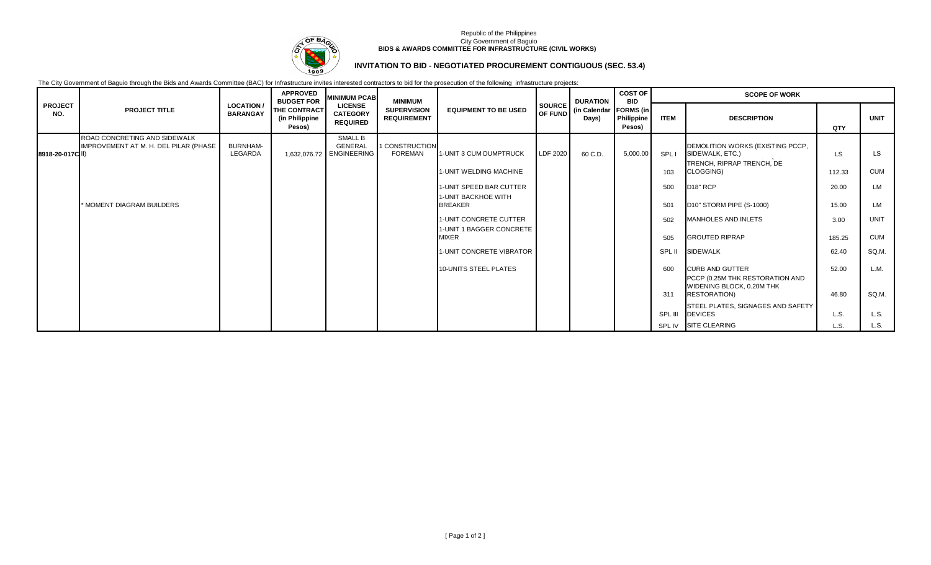

### Republic of the Philippines City Government of Baguio **BIDS & AWARDS COMMITTEE FOR INFRASTRUCTURE (CIVIL WORKS)**

# **INVITATION TO BID - NEGOTIATED PROCUREMENT CONTIGUOUS (SEC. 53.4)**

The City Government of Baguio through the Bids and Awards Committee (BAC) for Infrastructure invites interested contractors to bid for the prosecution of the following infrastructure projects:

|                       |                                                                       |                                      | <b>APPROVED</b><br><b>BUDGET FOR</b>     | <b>MINIMUM PCAB</b>                                  | <b>MINIMUM</b>                           |                                                    |                          | <b>DURATION</b>                   | <b>COST OF</b><br><b>BID</b><br>Philippine<br>Pesos) | <b>SCOPE OF WORK</b> |                                                                                  |                 |                  |
|-----------------------|-----------------------------------------------------------------------|--------------------------------------|------------------------------------------|------------------------------------------------------|------------------------------------------|----------------------------------------------------|--------------------------|-----------------------------------|------------------------------------------------------|----------------------|----------------------------------------------------------------------------------|-----------------|------------------|
| <b>PROJECT</b><br>NO. | <b>PROJECT TITLE</b>                                                  | <b>LOCATION /</b><br><b>BARANGAY</b> | THE CONTRACT<br>(in Philippine<br>Pesos) | <b>LICENSE</b><br><b>CATEGORY</b><br><b>REQUIRED</b> | <b>SUPERVISION</b><br><b>REQUIREMENT</b> | <b>EQUIPMENT TO BE USED</b>                        | <b>SOURCE</b><br>OF FUND | (in Calendar   FORMS (in<br>Days) |                                                      | <b>ITEM</b>          | <b>DESCRIPTION</b>                                                               | QTY             | <b>UNIT</b>      |
| 8918-20-017C II)      | ROAD CONCRETING AND SIDEWALK<br>IMPROVEMENT AT M. H. DEL PILAR (PHASE | <b>BURNHAM-</b><br>LEGARDA           |                                          | SMALL B<br>GENERAL<br>1,632,076.72 ENGINEERING       | 1 CONSTRUCTION<br><b>FOREMAN</b>         | 1-UNIT 3 CUM DUMPTRUCK                             | LDF 2020                 | 60 C.D.                           | 5,000.00                                             | SPL I                | DEMOLITION WORKS (EXISTING PCCP,<br>SIDEWALK, ETC.)<br>TRENCH, RIPRAP TRENCH, DE | LS              | LS.              |
|                       |                                                                       |                                      |                                          |                                                      |                                          | 1-UNIT WELDING MACHINE<br>1-UNIT SPEED BAR CUTTER  |                          |                                   |                                                      | 103<br>500           | CLOGGING)<br>D <sub>18</sub> " RCP                                               | 112.33<br>20.00 | <b>CUM</b><br>LM |
|                       | * MOMENT DIAGRAM BUILDERS                                             |                                      |                                          |                                                      |                                          | <b>1-UNIT BACKHOE WITH</b><br><b>BREAKER</b>       |                          |                                   |                                                      | 501                  | D <sub>10</sub> " STORM PIPE (S-1000)                                            | 15.00           | LM               |
|                       |                                                                       |                                      |                                          |                                                      |                                          | 1-UNIT CONCRETE CUTTER<br>1-UNIT 1 BAGGER CONCRETE |                          |                                   |                                                      | 502                  | MANHOLES AND INLETS                                                              | 3.00            | <b>UNIT</b>      |
|                       |                                                                       |                                      |                                          |                                                      |                                          | <b>MIXER</b>                                       |                          |                                   |                                                      | 505                  | <b>GROUTED RIPRAP</b>                                                            | 185.25          | <b>CUM</b>       |
|                       |                                                                       |                                      |                                          |                                                      |                                          | 1-UNIT CONCRETE VIBRATOR                           |                          |                                   |                                                      | SPL II               | <b>SIDEWALK</b>                                                                  | 62.40           | SQ.M.            |
|                       |                                                                       |                                      |                                          |                                                      |                                          | 10-UNITS STEEL PLATES                              |                          |                                   |                                                      | 600                  | <b>CURB AND GUTTER</b><br>PCCP (0.25M THK RESTORATION AND                        | 52.00           | L.M.             |
|                       |                                                                       |                                      |                                          |                                                      |                                          |                                                    |                          |                                   |                                                      | 311                  | WIDENING BLOCK, 0.20M THK<br><b>RESTORATION)</b>                                 | 46.80           | SQ.M.            |
|                       |                                                                       |                                      |                                          |                                                      |                                          |                                                    |                          |                                   |                                                      | SPL III              | STEEL PLATES, SIGNAGES AND SAFETY<br><b>DEVICES</b>                              | L.S.            | L.S.             |
|                       |                                                                       |                                      |                                          |                                                      |                                          |                                                    |                          |                                   |                                                      |                      | SPL IV SITE CLEARING                                                             | L.S.            | L.S.             |